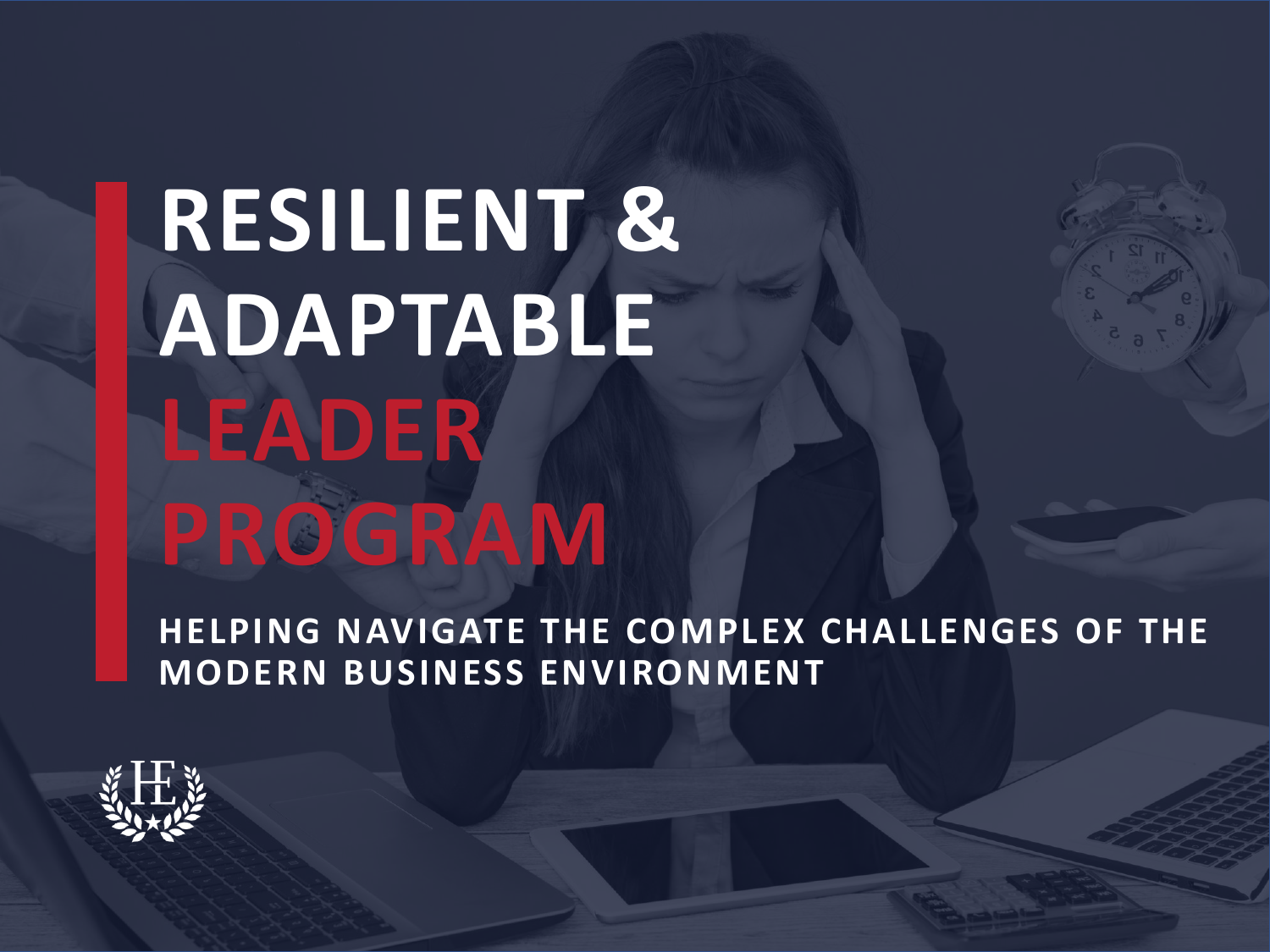# **RESILIENT & ADAPTABLE LEADER PROGRAM**

**HELPING NAVIGATE THE COMPLEX CHALLENGES OF THE MODERN BUSINESS ENVIRONMENT**

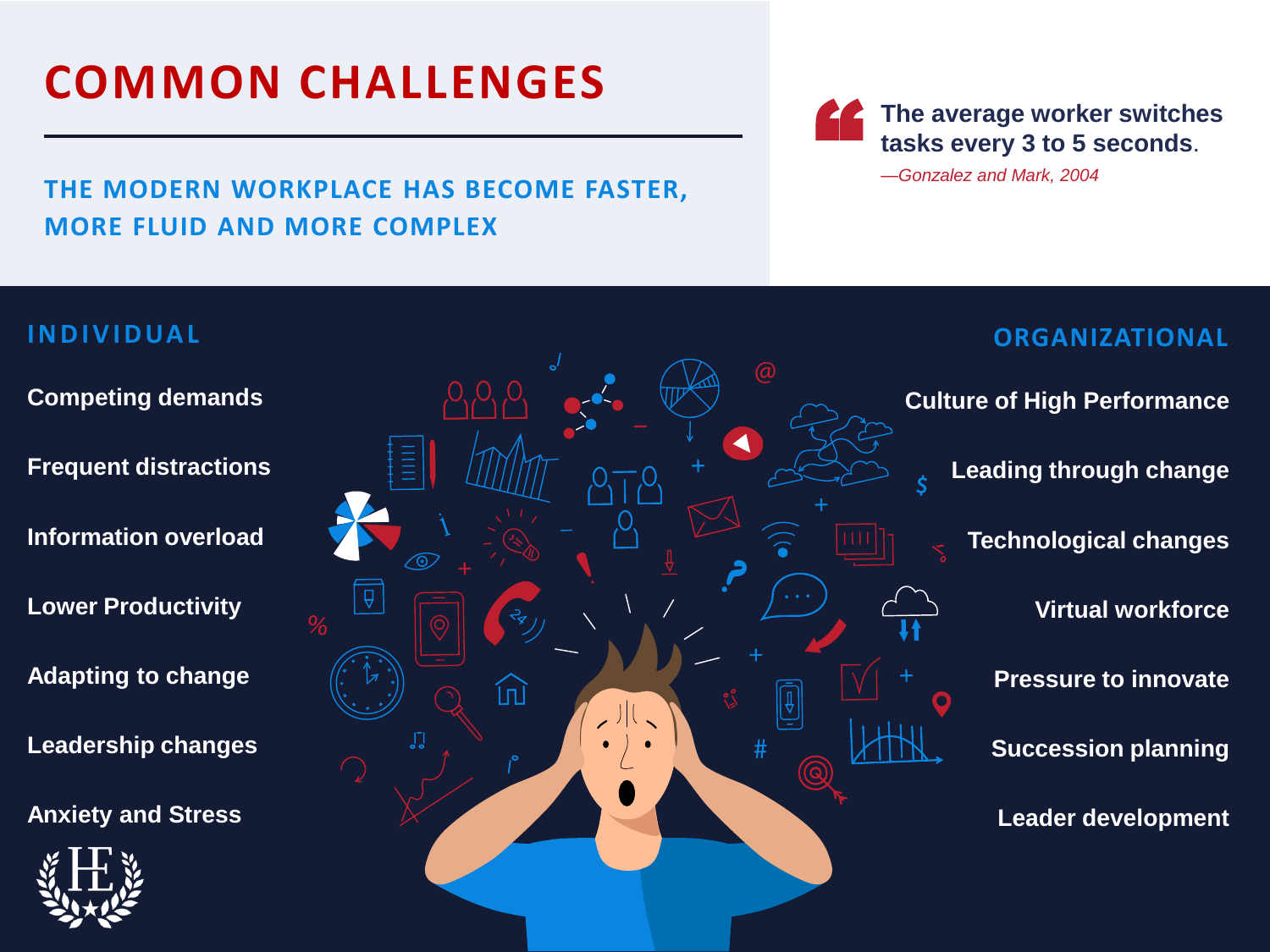# **COMMON CHALLENGES**

### **THE MODERN WORKPLACE HAS BECOME FASTER, MORE FLUID AND MORE COMPLEX**

**The average worker switches**<br>
tasks every 3 to 5 seconds.<br>
-Gonzalez and Mark, 2004

**I N D I V I D UA L ORGANIZATIONAL Competing demands Culture of High Performance Frequent distractions Leading through change Information overload Technological changes Lower Productivity Virtual workforce Adapting to change Pressure to innovate** ⑪ **Leadership changes Succession planning Anxiety and Stress Leader development**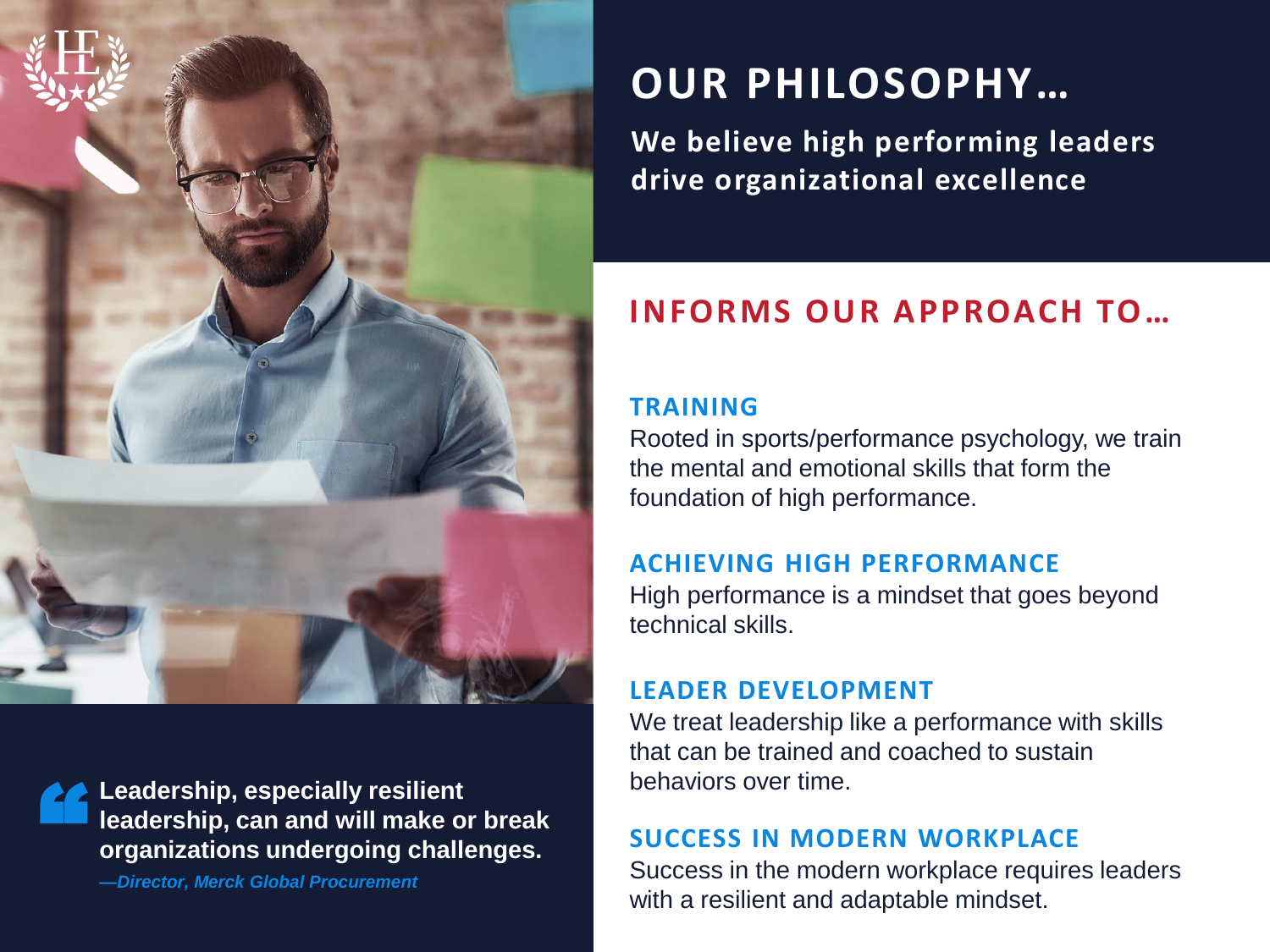

**Leadership, especially resilient leadership, can and will make or break organizations undergoing challenges.** "<br>"

*—Director, Merck Global Procurement*

# **OUR PHILOSOPHY…**

**We believe high performing leaders drive organizational excellence**

# **INFORMS OUR APPROACH TO…**

### **TRAINING**

Rooted in sports/performance psychology, we train the mental and emotional skills that form the foundation of high performance.

### **ACHIEVING HIGH PERFORMANCE**

High performance is a mindset that goes beyond technical skills.

### **LEADER DEVELOPMENT**

We treat leadership like a performance with skills that can be trained and coached to sustain behaviors over time.

### **SUCCESS IN MODERN WORKPLACE**

Success in the modern workplace requires leaders with a resilient and adaptable mindset.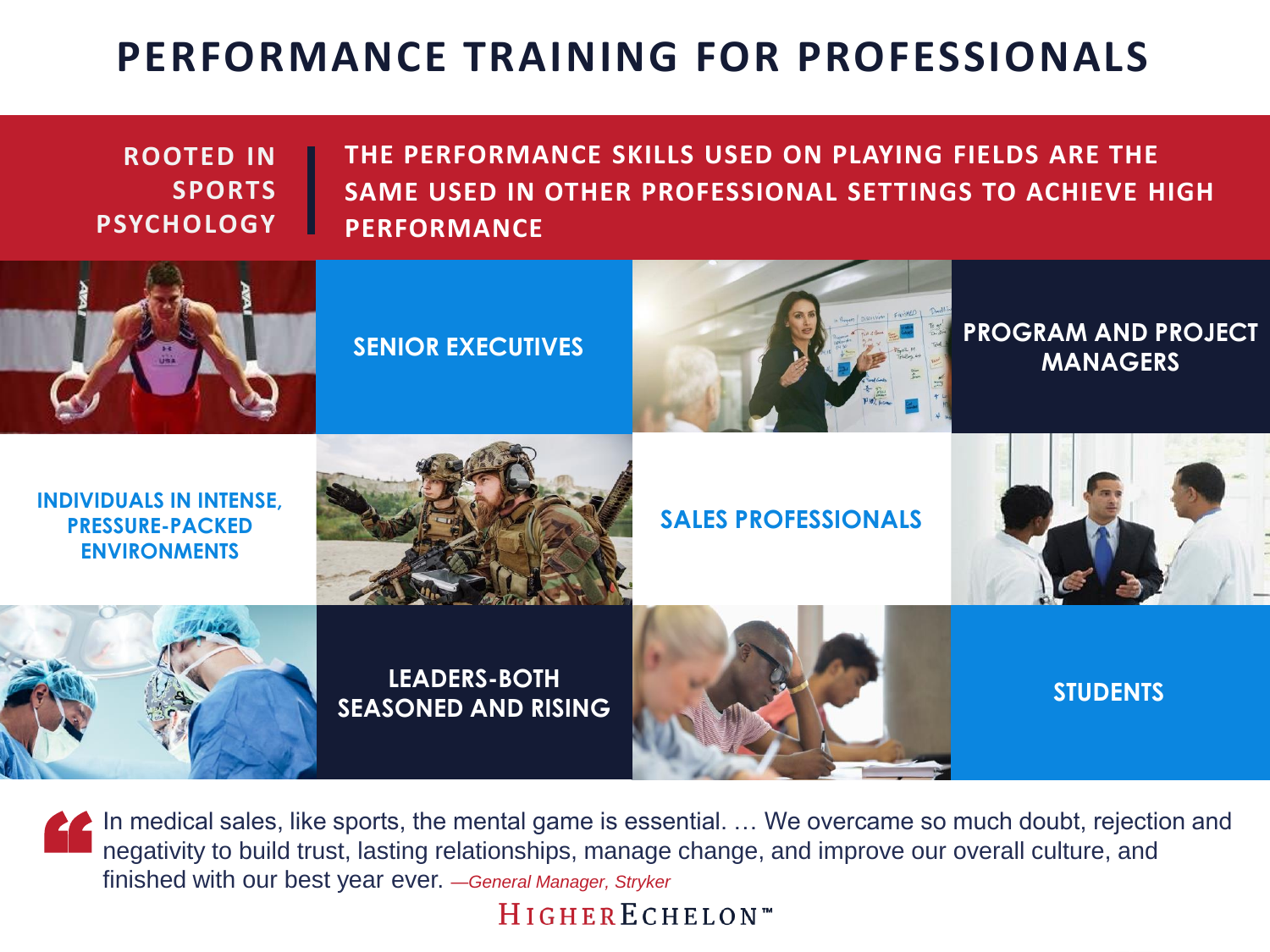# **PERFORMANCE TRAINING FOR PROFESSIONALS**

**ROOTED IN SPORTS PSYCHOLOGY** **THE PERFORMANCE SKILLS USED ON PLAYING FIELDS ARE THE SAME USED IN OTHER PROFESSIONAL SETTINGS TO ACHIEVE HIGH PERFORMANCE**



In medical sales, like sports, the mental game is essential. ... We overcame so much doubt, rejection and negativity to build trust, lasting relationships, manage change, and improve our overall culture, and " finished with our best year ever. *—General Manager, Stryker*

HIGHERECHELON<sup>\*\*</sup>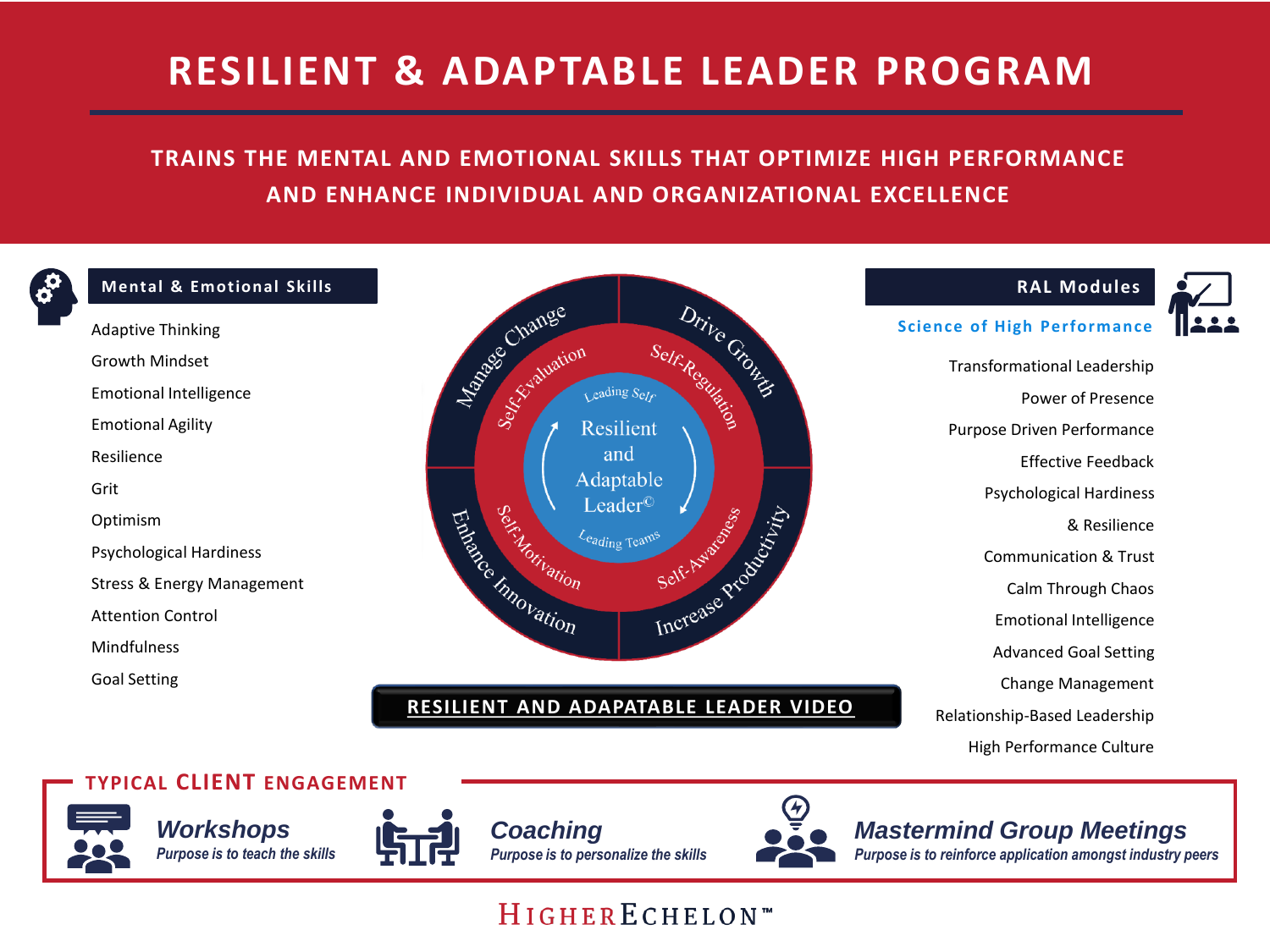# **RESILIENT & ADAPTABLE LEADER PROGRAM**

### **TRAINS THE MENTAL AND EMOTIONAL SKILLS THAT OPTIMIZE HIGH PERFORMANCE AND ENHANCE INDIVIDUAL AND ORGANIZATIONAL EXCELLENCE**



#### **Mental & Emotional Skills**

Adaptive Thinking Growth Mindset Emotional Intelligence Emotional Agility Resilience Grit Optimism Psychological Hardiness Stress & Energy Management Attention Control Mindfulness Goal Setting



#### **[RESILIENT AND ADAPATABLE LEADER VIDEO](https://www.youtube.com/watch?v=6YKaJYaJ9_I)**



Transformational Leadership Power of Presence Purpose Driven Performance Effective Feedback Psychological Hardiness & Resilience Communication & Trust Calm Through Chaos Emotional Intelligence Advanced Goal Setting Change Management Relationship-Based Leadership High Performance Culture

**RAL Modules**

#### **TYPICAL CLIENT ENGAGEMENT**







*Coaching Purpose is to personalize the skills*



#### *Mastermind Group Meetings*

*Purpose is to reinforce application amongst industry peers*

# HIGHERECHELON™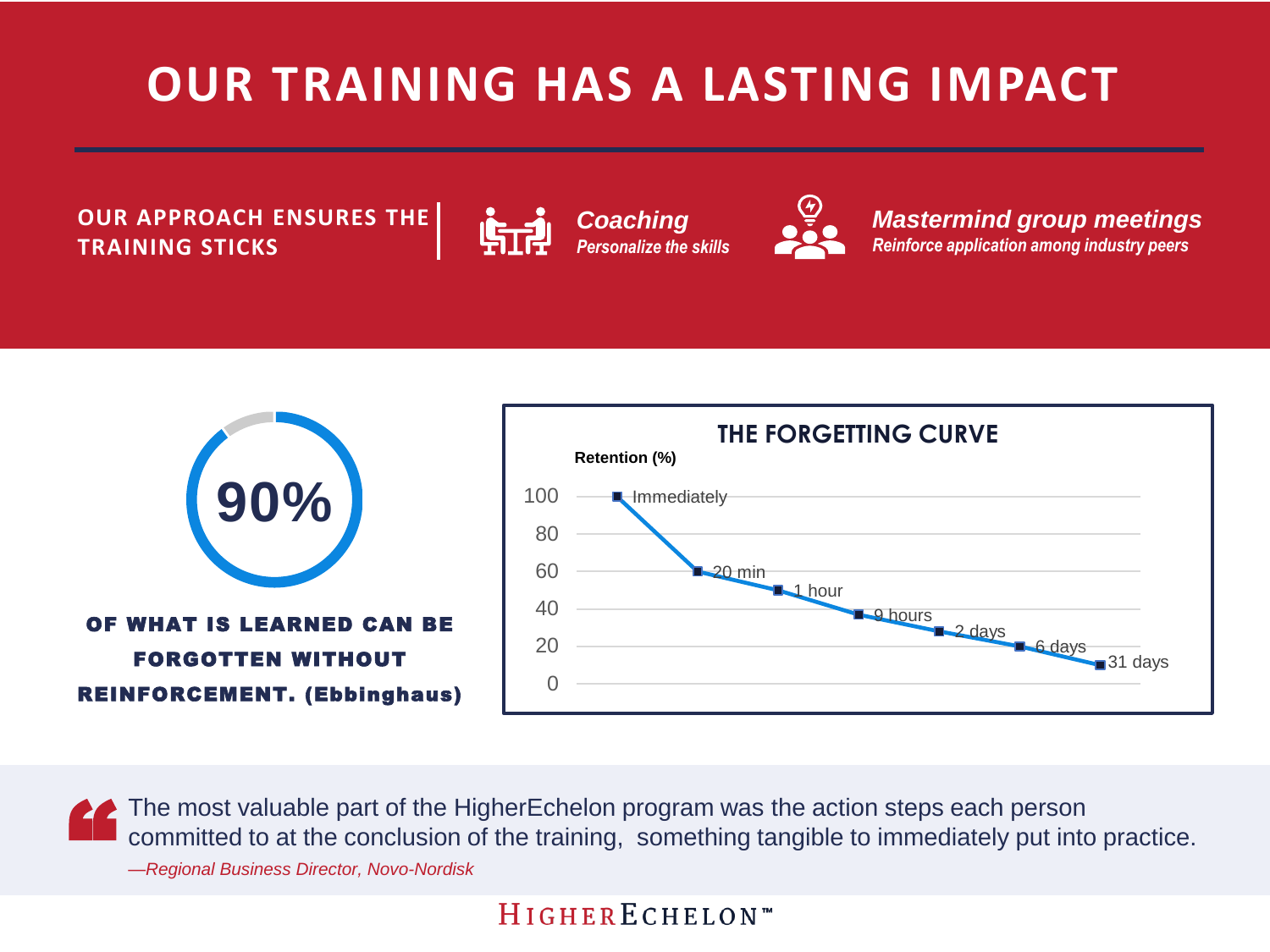# **OUR TRAINING HAS A LASTING IMPACT**

**OUR APPROACH ENSURES THE TRAINING STICKS**



*Mastermind group meetings Reinforce application among industry peers*



The most valuable part of the HigherEchelon program was the action steps each person committed to at the conclusion of the training, something tangible to immediately put into practice. " *—Regional Business Director, Novo-Nordisk*

# HIGHERECHELON™